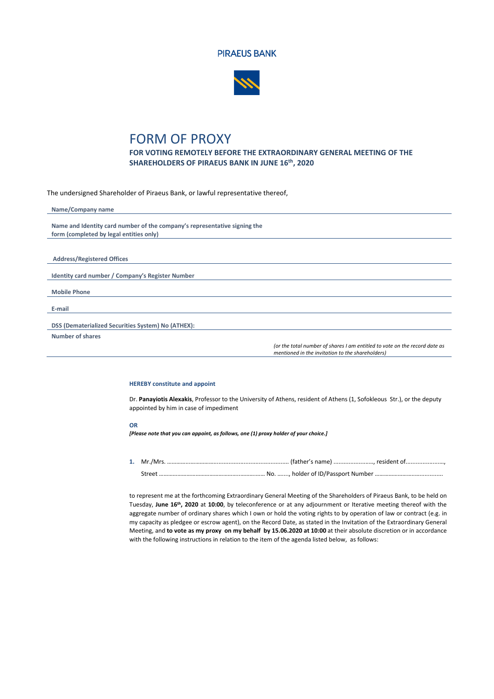



## FORM OF PROXY

**FOR VOTING REMOTELY BEFORE THE EXTRAORDINARY GENERAL MEETING OF THE SHAREHOLDERS OF PIRAEUS BANK IN JUNE 16th, 2020**

The undersigned Shareholder of Piraeus Bank, or lawful representative thereof,

| Name/Company name                                                         |                                                                                                                                |
|---------------------------------------------------------------------------|--------------------------------------------------------------------------------------------------------------------------------|
|                                                                           |                                                                                                                                |
| Name and Identity card number of the company's representative signing the |                                                                                                                                |
| form (completed by legal entities only)                                   |                                                                                                                                |
|                                                                           |                                                                                                                                |
|                                                                           |                                                                                                                                |
| <b>Address/Registered Offices</b>                                         |                                                                                                                                |
|                                                                           |                                                                                                                                |
| Identity card number / Company's Register Number                          |                                                                                                                                |
|                                                                           |                                                                                                                                |
| <b>Mobile Phone</b>                                                       |                                                                                                                                |
|                                                                           |                                                                                                                                |
| E-mail                                                                    |                                                                                                                                |
|                                                                           |                                                                                                                                |
| DSS (Dematerialized Securities System) No (ATHEX):                        |                                                                                                                                |
| Number of shares                                                          |                                                                                                                                |
|                                                                           | (or the total number of shares I am entitled to vote on the record date as<br>mentioned in the invitation to the shareholders) |

## **HEREBY constitute and appoint**

Dr. **Panayiotis Alexakis**, Professor to the University of Athens, resident of Athens (1, Sofokleous Str.), or the deputy appointed by him in case of impediment

## **OR**

*[Please note that you can appoint, as follows, one (1) proxy holder of your choice.]*

**1.** Mr./Mrs. …………...……………............................................. (father's name) .....................…, resident of....................…, Street ……………………………………………..……….…… No. …...., holder of ID/Passport Number ……………………..…..............

to represent me at the forthcoming Extraordinary General Meeting of the Shareholders of Piraeus Bank, to be held on Tuesday, **June 16th, 2020** at **10:00**, by teleconference or at any adjournment or Iterative meeting thereof with the aggregate number of ordinary shares which I own or hold the voting rights to by operation of law or contract (e.g. in my capacity as pledgee or escrow agent), on the Record Date, as stated in the Invitation of the Extraordinary General Meeting, and **to vote as my proxy on my behalf by 15.06.2020 at 10:00** at their absolute discretion or in accordance with the following instructions in relation to the item of the agenda listed below, as follows: